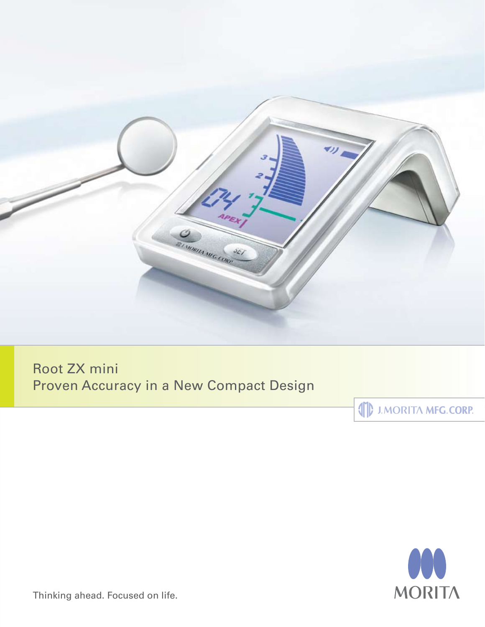

Root ZX mini Proven Accuracy in a New Compact Design

**SEPTEMBER 17 MEG.CORP.** 



Thinking ahead. Focused on life.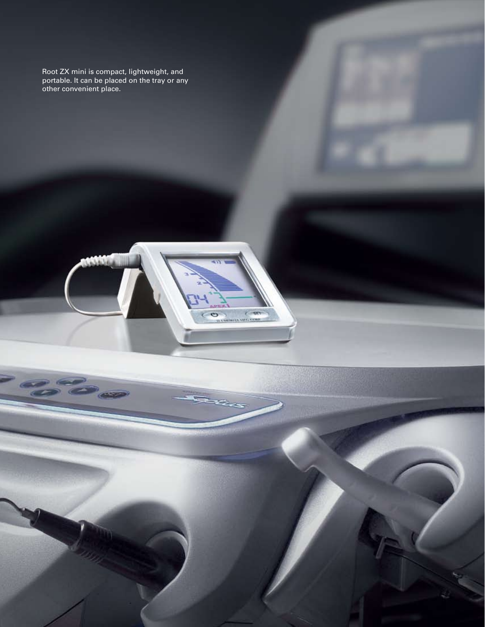Root ZX mini is compact, lightweight, and portable. It can be placed on the tray or any other convenient place.

 $-6 - 6 - 6$ 

 $\epsilon$ 

**SALE MAIL COMP** 

 $\circ$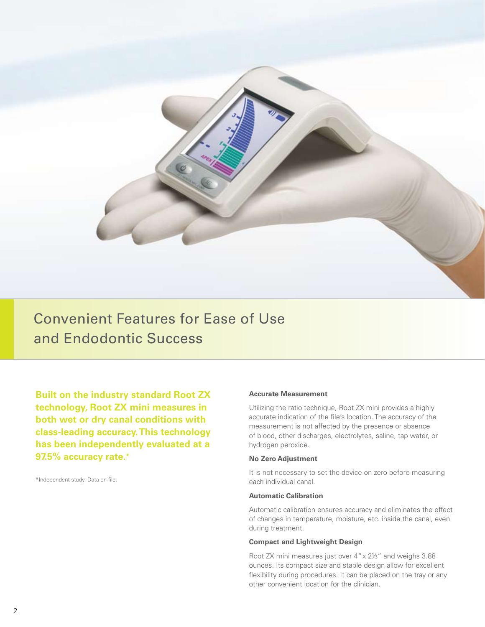

Convenient Features for Ease of Use and Endodontic Success

**Built on the industry standard Root ZX technology, Root ZX mini measures in both wet or dry canal conditions with class-leading accuracy. This technology has been independently evaluated at a 97.5% accuracy rate.\***

\*Independent study. Data on file.

## **Accurate Measurement**

Utilizing the ratio technique, Root ZX mini provides a highly accurate indication of the file's location. The accuracy of the measurement is not affected by the presence or absence of blood, other discharges, electrolytes, saline, tap water, or hydrogen peroxide.

### **No Zero Adjustment**

It is not necessary to set the device on zero before measuring each individual canal.

## **Automatic Calibration**

Automatic calibration ensures accuracy and eliminates the effect of changes in temperature, moisture, etc. inside the canal, even during treatment.

## **Compact and Lightweight Design**

Root ZX mini measures just over 4" x 2⅓" and weighs 3.88 ounces. Its compact size and stable design allow for excellent flexibility during procedures. It can be placed on the tray or any other convenient location for the clinician.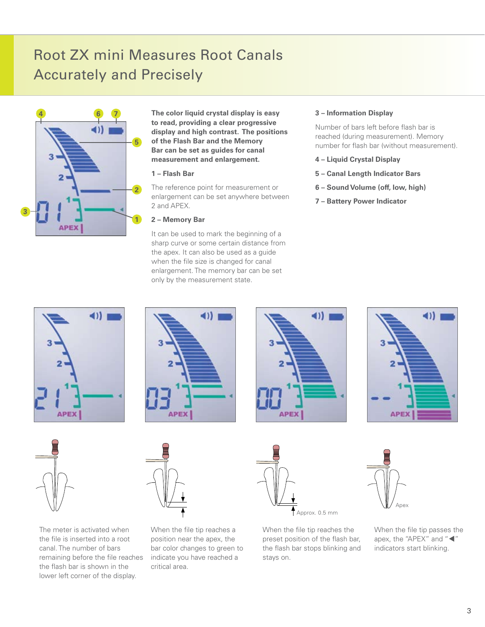# Root ZX mini Measures Root Canals Accurately and Precisely



**The color liquid crystal display is easy to read, providing a clear progressive display and high contrast. The positions of the Flash Bar and the Memory Bar can be set as guides for canal measurement and enlargement.**

## **1 – Flash Bar**

The reference point for measurement or enlargement can be set anywhere between 2 and APEX.

## **2 – Memory Bar**

It can be used to mark the beginning of a sharp curve or some certain distance from the apex. It can also be used as a guide when the file size is changed for canal enlargement. The memory bar can be set only by the measurement state.

## **3 – Information Display**

Number of bars left before flash bar is reached (during measurement). Memory number for flash bar (without measurement).

- **4 Liquid Crystal Display**
- **5 Canal Length Indicator Bars**
- **6 Sound Volume (off, low, high)**
- **7 Battery Power Indicator**





The meter is activated when the file is inserted into a root canal. The number of bars remaining before the file reaches the flash bar is shown in the lower left corner of the display.









When the file tip reaches a position near the apex, the bar color changes to green to indicate you have reached a critical area.



When the file tip reaches the preset position of the flash bar, the flash bar stops blinking and stays on.



When the file tip passes the apex, the "APEX" and " $\blacktriangleleft$ " indicators start blinking.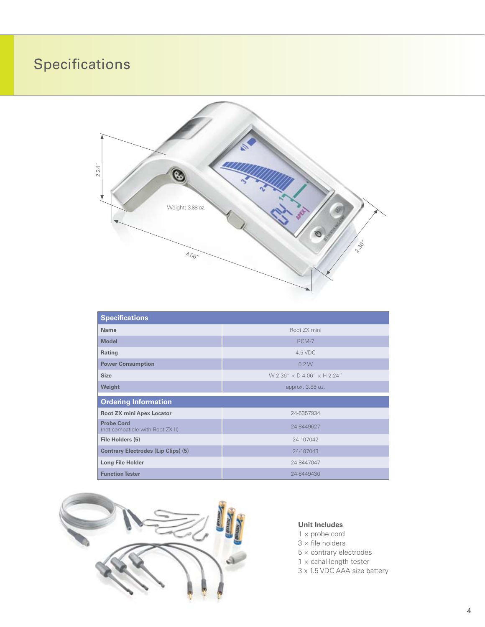# **Specifications**



| <b>Specifications</b>                                 |                                             |
|-------------------------------------------------------|---------------------------------------------|
| Name                                                  | Root ZX mini                                |
| <b>Model</b>                                          | RCM-7                                       |
| Rating                                                | $4.5$ VDC                                   |
| <b>Power Consumption</b>                              | 0.2W                                        |
| <b>Size</b>                                           | $W$ 2.36" $\times$ D 4.06" $\times$ H 2.24" |
| Weight                                                | approx. 3.88 oz.                            |
| <b>Ordering Information</b>                           |                                             |
| <b>Root ZX mini Apex Locator</b>                      | 24-5357934                                  |
| <b>Probe Cord</b><br>(not compatible with Root ZX II) | 24-8449627                                  |
| File Holders (5)                                      | 24-107042                                   |
| <b>Contrary Electrodes (Lip Clips) (5)</b>            | 24-107043                                   |
| <b>Long File Holder</b>                               | 24-8447047                                  |
| <b>Function Tester</b>                                | 24-8449430                                  |



# **Unit Includes**

- $1 \times$  probe cord
- $3 \times$  file holders
- $5 \times$  contrary electrodes
- $1 \times$  canal-length tester
- 3 x 1.5 VDC AAA size battery